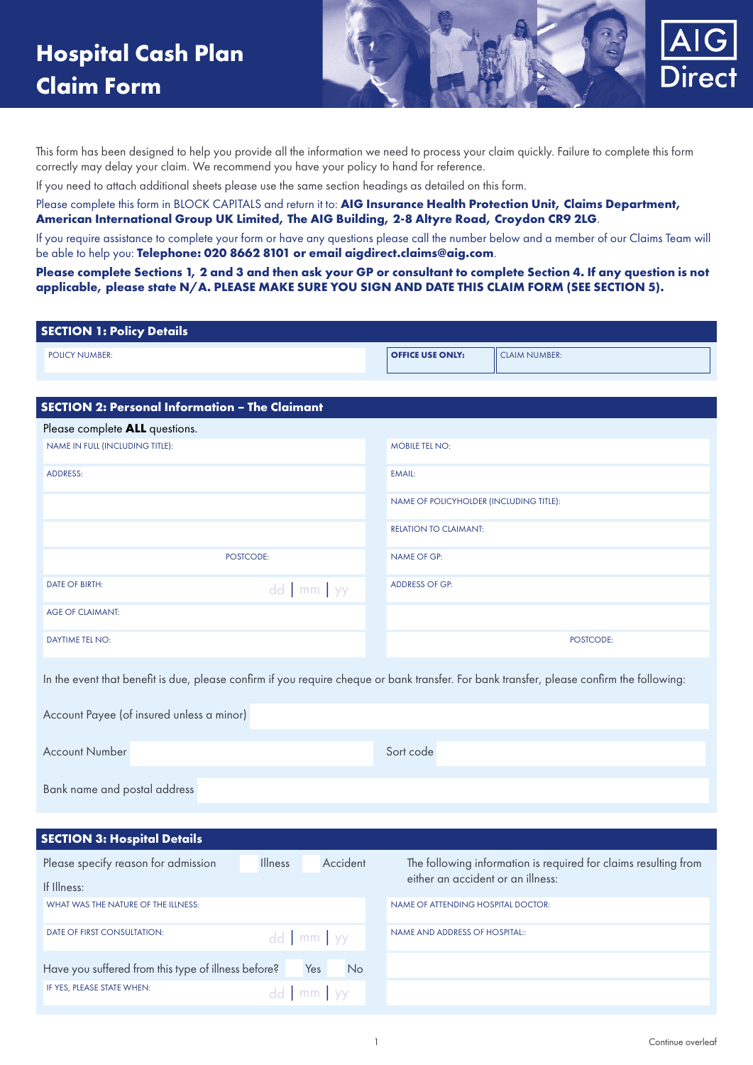

This form has been designed to help you provide all the information we need to process your claim quickly. Failure to complete this form correctly may delay your claim. We recommend you have your policy to hand for reference.

If you need to attach additional sheets please use the same section headings as detailed on this form.

Please complete this form in BLOCK CAPITALS and return it to: **AIG Insurance Health Protection Unit, Claims Department, American International Group UK Limited, The AIG Building, 2-8 Altyre Road, Croydon CR9 2LG**.

If you require assistance to complete your form or have any questions please call the number below and a member of our Claims Team will be able to help you: **Telephone: 020 8662 8101 or email aigdirect.claims@aig.com**.

**Please complete Sections 1, 2 and 3 and then ask your GP or consultant to complete Section 4. If any question is not applicable, please state N/A. PLEASE MAKE SURE YOU SIGN AND DATE THIS CLAIM FORM (SEE SECTION 5).**

| <b>SECTION 1: Policy Details</b>                                                                                                          |                                         |                      |
|-------------------------------------------------------------------------------------------------------------------------------------------|-----------------------------------------|----------------------|
| <b>POLICY NUMBER:</b>                                                                                                                     | <b>OFFICE USE ONLY:</b>                 | <b>CLAIM NUMBER:</b> |
|                                                                                                                                           |                                         |                      |
| <b>SECTION 2: Personal Information - The Claimant</b>                                                                                     |                                         |                      |
| Please complete ALL questions.                                                                                                            |                                         |                      |
| NAME IN FULL (INCLUDING TITLE):                                                                                                           | <b>MOBILE TEL NO:</b>                   |                      |
| <b>ADDRESS:</b>                                                                                                                           | <b>EMAIL:</b>                           |                      |
|                                                                                                                                           | NAME OF POLICYHOLDER (INCLUDING TITLE): |                      |
|                                                                                                                                           | <b>RELATION TO CLAIMANT:</b>            |                      |
| POSTCODE:                                                                                                                                 | <b>NAME OF GP:</b>                      |                      |
| <b>DATE OF BIRTH:</b><br>$dd \mid mm \mid yy$                                                                                             | <b>ADDRESS OF GP:</b>                   |                      |
| <b>AGE OF CLAIMANT:</b>                                                                                                                   |                                         |                      |
| <b>DAYTIME TEL NO:</b>                                                                                                                    |                                         | POSTCODE:            |
| In the event that benefit is due, please confirm if you require cheque or bank transfer. For bank transfer, please confirm the following: |                                         |                      |
| Account Payee (of insured unless a minor)                                                                                                 |                                         |                      |
| <b>Account Number</b>                                                                                                                     | Sort code                               |                      |
| Bank name and postal address                                                                                                              |                                         |                      |
|                                                                                                                                           |                                         |                      |

| <b>SECTION 3: Hospital Details</b> |  |  |
|------------------------------------|--|--|
|------------------------------------|--|--|

| Please specify reason for admission<br>If Illness:  | <b>Illness</b> | Accident              | The following information is required for claims resulting from<br>either an accident or an illness: |
|-----------------------------------------------------|----------------|-----------------------|------------------------------------------------------------------------------------------------------|
| WHAT WAS THE NATURE OF THE ILLNESS:                 |                |                       | NAME OF ATTENDING HOSPITAL DOCTOR:                                                                   |
| <b>DATE OF FIRST CONSULTATION:</b>                  |                | $dd$ mm $yy$          | NAME AND ADDRESS OF HOSPITAL::                                                                       |
| Have you suffered from this type of illness before? |                | Yes<br>N <sub>o</sub> |                                                                                                      |
| IF YES, PLEASE STATE WHEN:                          |                | $dd \mid mm \mid yy$  |                                                                                                      |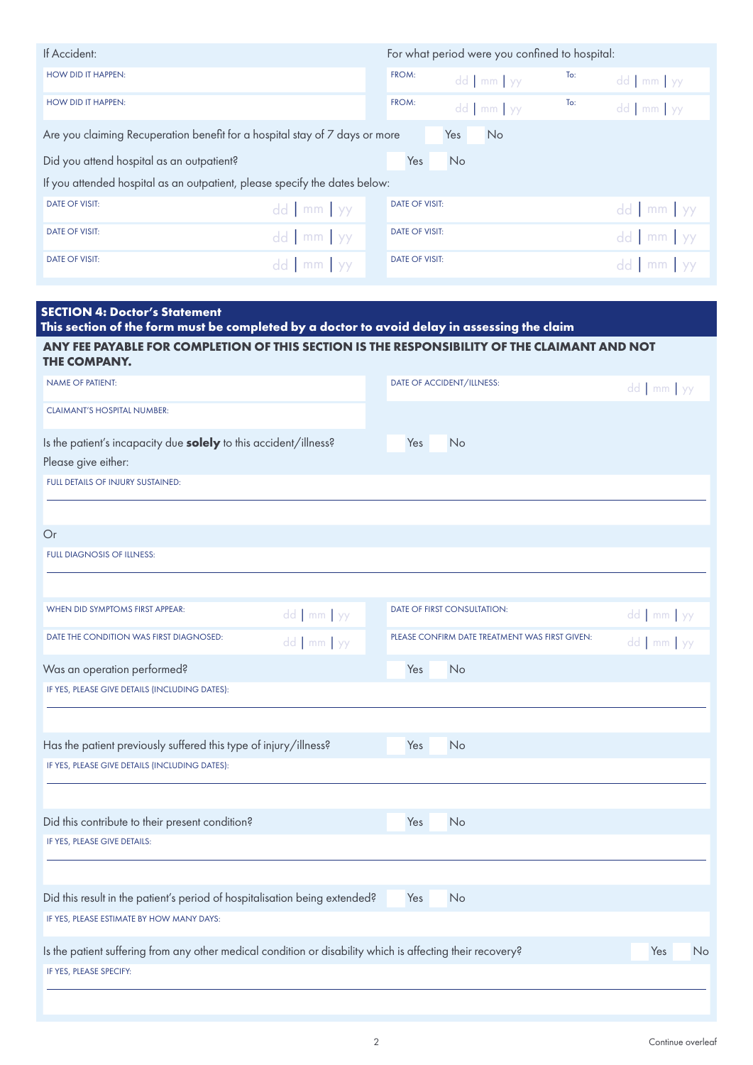| If Accident:                                                                |                   |                       |           | For what period were you confined to hospital: |     |              |
|-----------------------------------------------------------------------------|-------------------|-----------------------|-----------|------------------------------------------------|-----|--------------|
| <b>HOW DID IT HAPPEN:</b>                                                   |                   | FROM:                 |           | dd   mm   yy                                   | To: | $dd$ mm $yy$ |
| <b>HOW DID IT HAPPEN:</b>                                                   |                   | FROM:                 |           | dd mm yy                                       | To: | $dd$ mm $yy$ |
| Are you claiming Recuperation benefit for a hospital stay of 7 days or more |                   |                       | Yes       | <b>No</b>                                      |     |              |
| Did you attend hospital as an outpatient?                                   |                   | Yes                   | <b>No</b> |                                                |     |              |
| If you attended hospital as an outpatient, please specify the dates below:  |                   |                       |           |                                                |     |              |
| <b>DATE OF VISIT:</b>                                                       | $dd \text{mm}$ yy | <b>DATE OF VISIT:</b> |           |                                                |     | $dd$ mm $yy$ |
| <b>DATE OF VISIT:</b>                                                       | $dd \text{mm}$ yy | <b>DATE OF VISIT:</b> |           |                                                |     | dd mm yy     |
| <b>DATE OF VISIT:</b>                                                       | $dd$ mm $yy$      | <b>DATE OF VISIT:</b> |           |                                                |     | $dd$ mm yy   |

| <b>SECTION 4: Doctor's Statement</b><br>This section of the form must be completed by a doctor to avoid delay in assessing the claim |                                                |                      |
|--------------------------------------------------------------------------------------------------------------------------------------|------------------------------------------------|----------------------|
| ANY FEE PAYABLE FOR COMPLETION OF THIS SECTION IS THE RESPONSIBILITY OF THE CLAIMANT AND NOT<br>THE COMPANY.                         |                                                |                      |
| <b>NAME OF PATIENT:</b>                                                                                                              | DATE OF ACCIDENT/ILLNESS:                      | dd   mm   yy         |
| <b>CLAIMANT'S HOSPITAL NUMBER:</b>                                                                                                   |                                                |                      |
| Is the patient's incapacity due solely to this accident/illness?                                                                     | Yes<br>No                                      |                      |
| Please give either:                                                                                                                  |                                                |                      |
| FULL DETAILS OF INJURY SUSTAINED:                                                                                                    |                                                |                      |
| Or                                                                                                                                   |                                                |                      |
| <b>FULL DIAGNOSIS OF ILLNESS:</b>                                                                                                    |                                                |                      |
| WHEN DID SYMPTOMS FIRST APPEAR:                                                                                                      |                                                |                      |
| dd   mm   yy                                                                                                                         | DATE OF FIRST CONSULTATION:                    | $dd \mid mm \mid yy$ |
| DATE THE CONDITION WAS FIRST DIAGNOSED:<br>dd   mm   yy                                                                              | PLEASE CONFIRM DATE TREATMENT WAS FIRST GIVEN: | $dd$ mm $yy$         |
| Was an operation performed?                                                                                                          | Yes<br>No                                      |                      |
| IF YES, PLEASE GIVE DETAILS (INCLUDING DATES):                                                                                       |                                                |                      |
| Has the patient previously suffered this type of injury/illness?                                                                     | No<br>Yes                                      |                      |
| IF YES, PLEASE GIVE DETAILS (INCLUDING DATES):                                                                                       |                                                |                      |
|                                                                                                                                      |                                                |                      |
| Did this contribute to their present condition?                                                                                      | Yes<br><b>No</b>                               |                      |
| IF YES, PLEASE GIVE DETAILS:                                                                                                         |                                                |                      |
| Did this result in the patient's period of hospitalisation being extended?                                                           | No<br>Yes                                      |                      |
| IF YES, PLEASE ESTIMATE BY HOW MANY DAYS:                                                                                            |                                                |                      |
| Is the patient suffering from any other medical condition or disability which is affecting their recovery?                           |                                                | Yes<br>No            |
| IF YES, PLEASE SPECIFY:                                                                                                              |                                                |                      |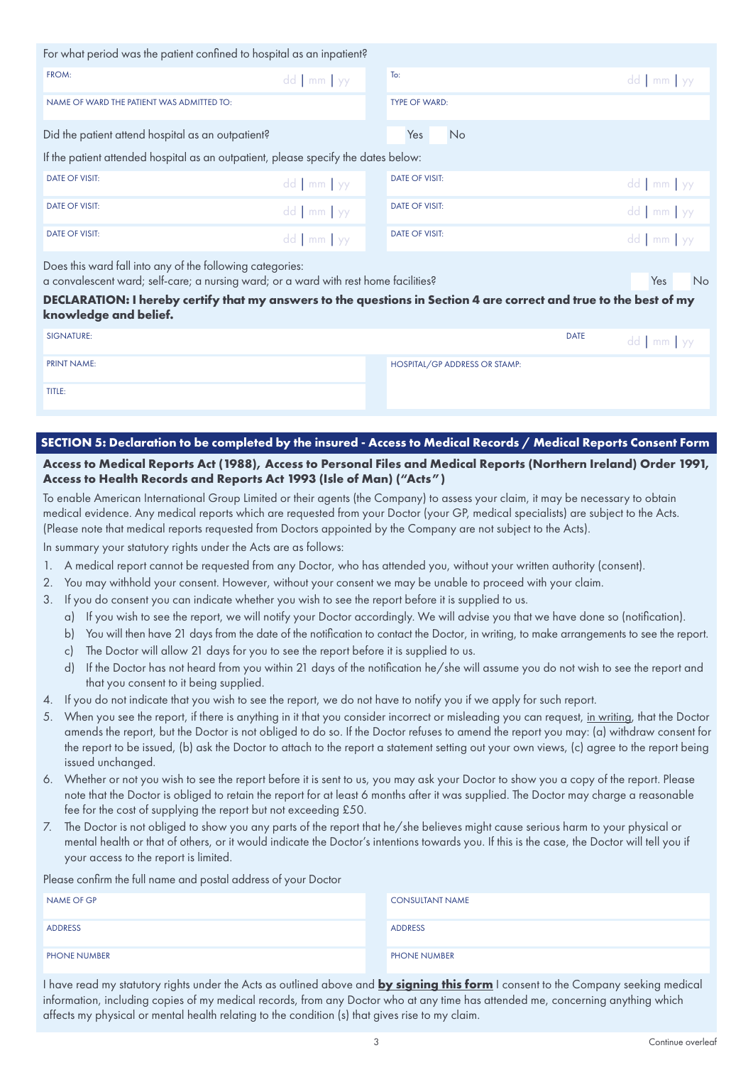| FROM:                                                                                                                                                                                                                                                                                            | $dd \mid mm \mid yy$ | To:                   | $dd$ mm $yy$     |
|--------------------------------------------------------------------------------------------------------------------------------------------------------------------------------------------------------------------------------------------------------------------------------------------------|----------------------|-----------------------|------------------|
| NAME OF WARD THE PATIENT WAS ADMITTED TO:                                                                                                                                                                                                                                                        |                      | <b>TYPE OF WARD:</b>  |                  |
| Did the patient attend hospital as an outpatient?                                                                                                                                                                                                                                                |                      | Yes<br><b>No</b>      |                  |
| If the patient attended hospital as an outpatient, please specify the dates below:                                                                                                                                                                                                               |                      |                       |                  |
| <b>DATE OF VISIT:</b>                                                                                                                                                                                                                                                                            | $dd \mid mm \mid yy$ | <b>DATE OF VISIT:</b> | $dd$ mm $yy$     |
| <b>DATE OF VISIT:</b>                                                                                                                                                                                                                                                                            | $dd$ mm $yy$         | <b>DATE OF VISIT:</b> | $dd$ mm yy       |
| <b>DATE OF VISIT:</b>                                                                                                                                                                                                                                                                            | $dd \mid mm \mid yy$ | <b>DATE OF VISIT:</b> | $dd$ mm $yy$     |
| Does this ward fall into any of the following categories:<br>a convalescent ward; self-care; a nursing ward; or a ward with rest home facilities?<br>DECLARATION: I hereby certify that my answers to the questions in Section 4 are correct and true to the best of my<br>knowledge and belief. |                      |                       | Yes<br><b>No</b> |

| SIGNATURE:         |                               | <b>DATE</b> | dd   mm   yy |
|--------------------|-------------------------------|-------------|--------------|
| <b>PRINT NAME:</b> | HOSPITAL/GP ADDRESS OR STAMP: |             |              |
| TITLE:             |                               |             |              |

# **SECTION 5: Declaration to be completed by the insured - Access to Medical Records / Medical Reports Consent Form**

### **Access to Medical Reports Act (1988), Access to Personal Files and Medical Reports (Northern Ireland) Order 1991, Access to Health Records and Reports Act 1993 (Isle of Man) ("Acts")**

To enable American International Group Limited or their agents (the Company) to assess your claim, it may be necessary to obtain medical evidence. Any medical reports which are requested from your Doctor (your GP, medical specialists) are subject to the Acts. (Please note that medical reports requested from Doctors appointed by the Company are not subject to the Acts).

In summary your statutory rights under the Acts are as follows:

- 1. A medical report cannot be requested from any Doctor, who has attended you, without your written authority (consent).
- 2. You may withhold your consent. However, without your consent we may be unable to proceed with your claim.
- 3. If you do consent you can indicate whether you wish to see the report before it is supplied to us.
	- a) If you wish to see the report, we will notify your Doctor accordingly. We will advise you that we have done so (notification).
	- b) You will then have 21 days from the date of the notification to contact the Doctor, in writing, to make arrangements to see the report.
	- c) The Doctor will allow 21 days for you to see the report before it is supplied to us.
	- d) If the Doctor has not heard from you within 21 days of the notification he/she will assume you do not wish to see the report and that you consent to it being supplied.
- 4. If you do not indicate that you wish to see the report, we do not have to notify you if we apply for such report.
- 5. When you see the report, if there is anything in it that you consider incorrect or misleading you can request, in writing, that the Doctor amends the report, but the Doctor is not obliged to do so. If the Doctor refuses to amend the report you may: (a) withdraw consent for the report to be issued, (b) ask the Doctor to attach to the report a statement setting out your own views, (c) agree to the report being issued unchanged.
- 6. Whether or not you wish to see the report before it is sent to us, you may ask your Doctor to show you a copy of the report. Please note that the Doctor is obliged to retain the report for at least 6 months after it was supplied. The Doctor may charge a reasonable fee for the cost of supplying the report but not exceeding £50.
- 7. The Doctor is not obliged to show you any parts of the report that he/she believes might cause serious harm to your physical or mental health or that of others, or it would indicate the Doctor's intentions towards you. If this is the case, the Doctor will tell you if your access to the report is limited.

Please confirm the full name and postal address of your Doctor

| ____<br>___<br>NAME OF GP | <b>CONSULTANT NAME</b> |
|---------------------------|------------------------|
| ADDRESS                   | ADDRESS                |
| <b>PHONE NUMBER</b>       | <b>PHONE NUMBER</b>    |

I have read my statutory rights under the Acts as outlined above and **by signing this form** I consent to the Company seeking medical information, including copies of my medical records, from any Doctor who at any time has attended me, concerning anything which affects my physical or mental health relating to the condition (s) that gives rise to my claim.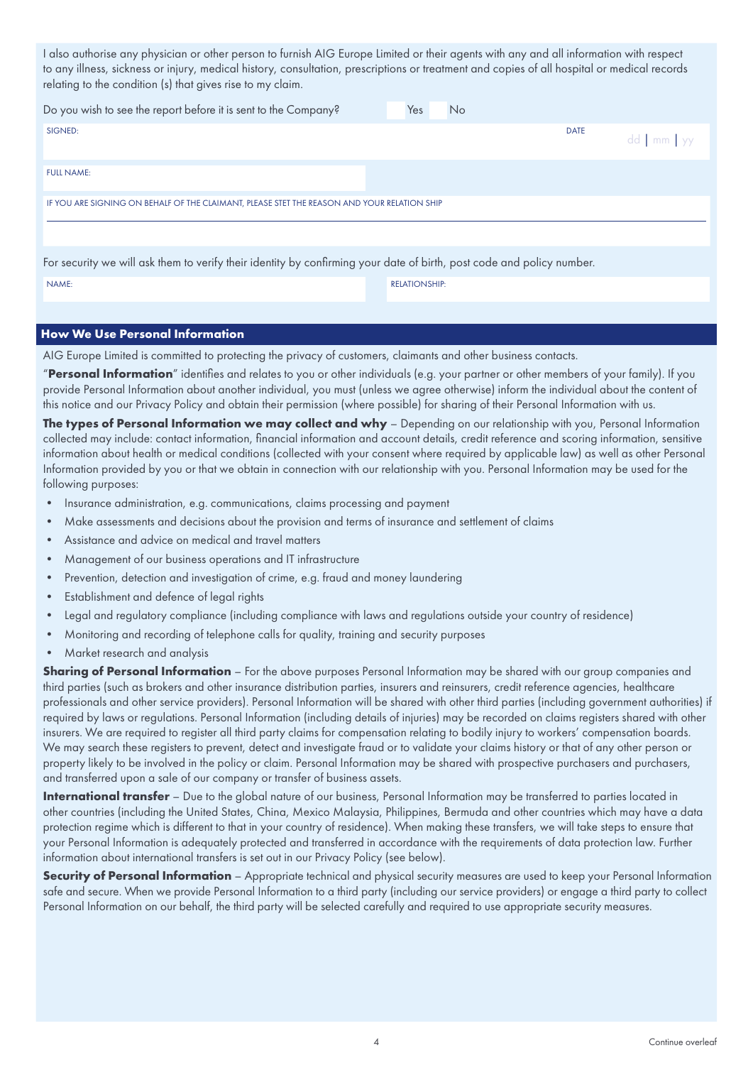I also authorise any physician or other person to furnish AIG Europe Limited or their agents with any and all information with respect to any illness, sickness or injury, medical history, consultation, prescriptions or treatment and copies of all hospital or medical records relating to the condition (s) that gives rise to my claim.

| Do you wish to see the report before it is sent to the Company?                                                       | <b>No</b><br>Yes     |              |
|-----------------------------------------------------------------------------------------------------------------------|----------------------|--------------|
| SIGNED:                                                                                                               | <b>DATE</b>          | $dd$ mm $yy$ |
| <b>FULL NAME:</b>                                                                                                     |                      |              |
| IF YOU ARE SIGNING ON BEHALF OF THE CLAIMANT, PLEASE STET THE REASON AND YOUR RELATION SHIP                           |                      |              |
|                                                                                                                       |                      |              |
| For security we will ask them to verify their identity by confirming your date of birth, post code and policy number. |                      |              |
| NAME:                                                                                                                 | <b>RELATIONSHIP:</b> |              |

### **How We Use Personal Information**

AIG Europe Limited is committed to protecting the privacy of customers, claimants and other business contacts.

"**Personal Information**" identifies and relates to you or other individuals (e.g. your partner or other members of your family). If you provide Personal Information about another individual, you must (unless we agree otherwise) inform the individual about the content of this notice and our Privacy Policy and obtain their permission (where possible) for sharing of their Personal Information with us.

The types of Personal Information we may collect and why - Depending on our relationship with you, Personal Information collected may include: contact information, financial information and account details, credit reference and scoring information, sensitive information about health or medical conditions (collected with your consent where required by applicable law) as well as other Personal Information provided by you or that we obtain in connection with our relationship with you. Personal Information may be used for the following purposes:

- Insurance administration, e.g. communications, claims processing and payment
- Make assessments and decisions about the provision and terms of insurance and settlement of claims
- Assistance and advice on medical and travel matters
- Management of our business operations and IT infrastructure
- Prevention, detection and investigation of crime, e.g. fraud and money laundering
- Establishment and defence of legal rights
- Legal and regulatory compliance (including compliance with laws and regulations outside your country of residence)
- Monitoring and recording of telephone calls for quality, training and security purposes
- Market research and analysis

**Sharing of Personal Information** – For the above purposes Personal Information may be shared with our group companies and third parties (such as brokers and other insurance distribution parties, insurers and reinsurers, credit reference agencies, healthcare professionals and other service providers). Personal Information will be shared with other third parties (including government authorities) if required by laws or regulations. Personal Information (including details of injuries) may be recorded on claims registers shared with other insurers. We are required to register all third party claims for compensation relating to bodily injury to workers' compensation boards. We may search these registers to prevent, detect and investigate fraud or to validate your claims history or that of any other person or property likely to be involved in the policy or claim. Personal Information may be shared with prospective purchasers and purchasers, and transferred upon a sale of our company or transfer of business assets.

**International transfer** – Due to the global nature of our business, Personal Information may be transferred to parties located in other countries (including the United States, China, Mexico Malaysia, Philippines, Bermuda and other countries which may have a data protection regime which is different to that in your country of residence). When making these transfers, we will take steps to ensure that your Personal Information is adequately protected and transferred in accordance with the requirements of data protection law. Further information about international transfers is set out in our Privacy Policy (see below).

**Security of Personal Information** – Appropriate technical and physical security measures are used to keep your Personal Information safe and secure. When we provide Personal Information to a third party (including our service providers) or engage a third party to collect Personal Information on our behalf, the third party will be selected carefully and required to use appropriate security measures.